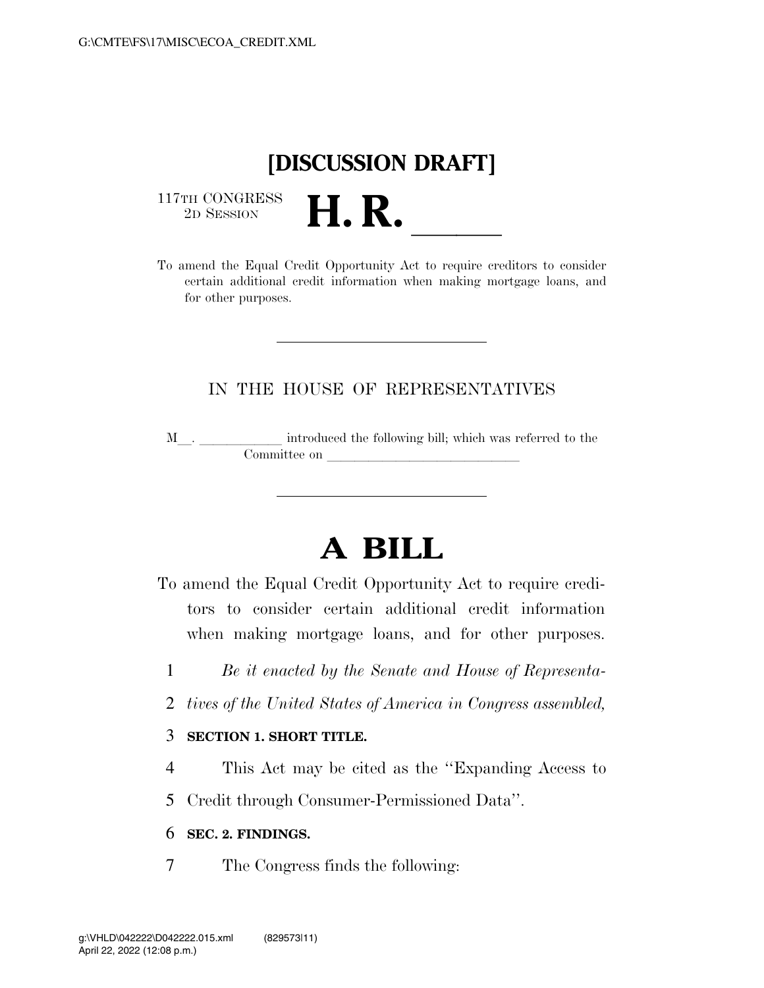## **[DISCUSSION DRAFT]**

 $\begin{array}{c} \text{117TH CONGRESS} \\ \text{2D Session} \end{array}$ 



## IN THE HOUSE OF REPRESENTATIVES

M<sub>\_\_\_</sub>. \_\_\_\_\_\_\_\_\_\_\_\_\_ introduced the following bill; which was referred to the  $\mathop{\mathrm{Commititee}}$  on  $\qquad \qquad \overline{\qquad \qquad }$ 

## **A BILL**

To amend the Equal Credit Opportunity Act to require creditors to consider certain additional credit information when making mortgage loans, and for other purposes.

- 1 *Be it enacted by the Senate and House of Representa-*
- 2 *tives of the United States of America in Congress assembled,*

## 3 **SECTION 1. SHORT TITLE.**

4 This Act may be cited as the ''Expanding Access to

5 Credit through Consumer-Permissioned Data''.

6 **SEC. 2. FINDINGS.** 

7 The Congress finds the following: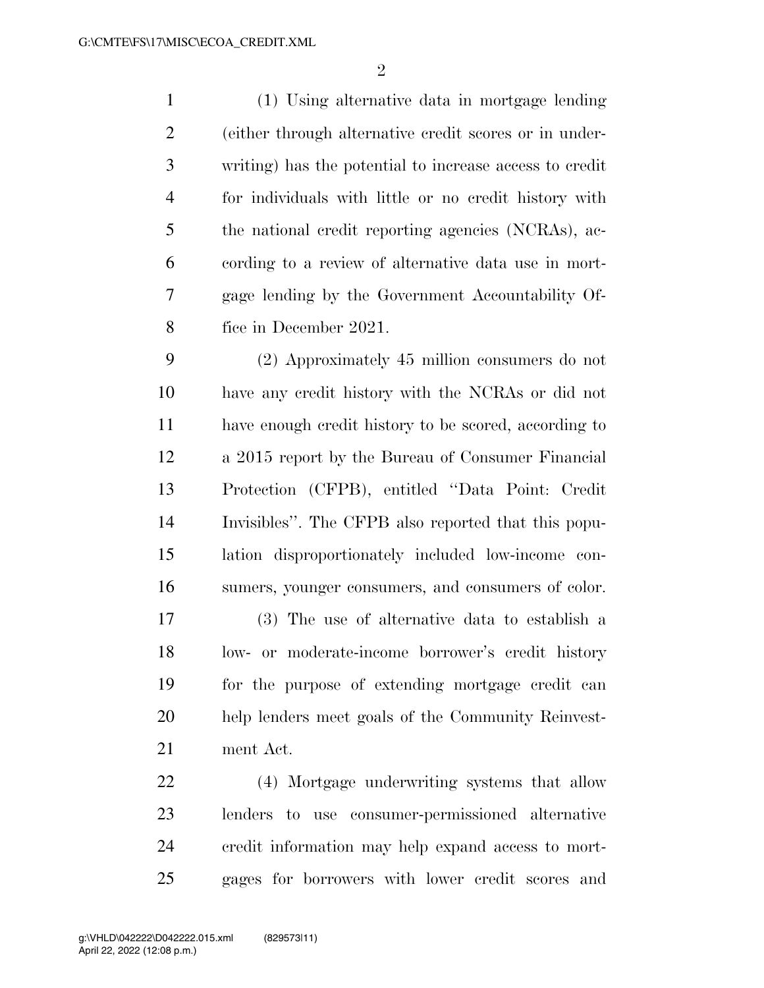(1) Using alternative data in mortgage lending (either through alternative credit scores or in under- writing) has the potential to increase access to credit for individuals with little or no credit history with the national credit reporting agencies (NCRAs), ac- cording to a review of alternative data use in mort- gage lending by the Government Accountability Of-fice in December 2021.

 (2) Approximately 45 million consumers do not have any credit history with the NCRAs or did not have enough credit history to be scored, according to a 2015 report by the Bureau of Consumer Financial Protection (CFPB), entitled ''Data Point: Credit Invisibles''. The CFPB also reported that this popu- lation disproportionately included low-income con-sumers, younger consumers, and consumers of color.

 (3) The use of alternative data to establish a low- or moderate-income borrower's credit history for the purpose of extending mortgage credit can help lenders meet goals of the Community Reinvest-ment Act.

 (4) Mortgage underwriting systems that allow lenders to use consumer-permissioned alternative credit information may help expand access to mort-gages for borrowers with lower credit scores and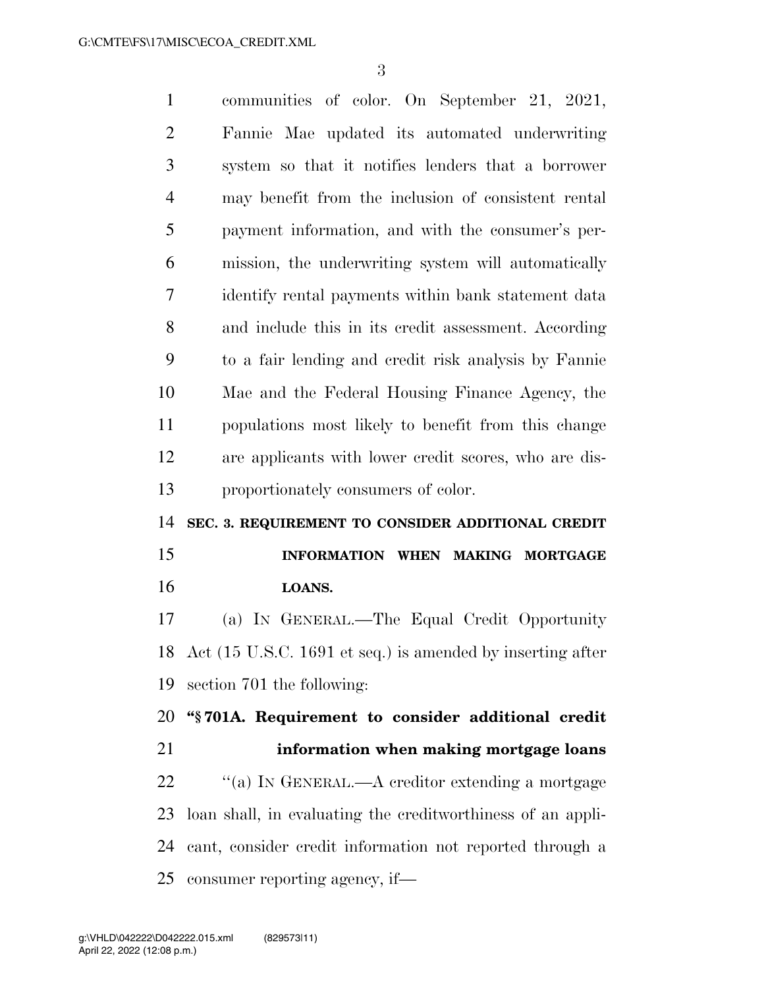communities of color. On September 21, 2021, Fannie Mae updated its automated underwriting system so that it notifies lenders that a borrower may benefit from the inclusion of consistent rental payment information, and with the consumer's per- mission, the underwriting system will automatically identify rental payments within bank statement data and include this in its credit assessment. According to a fair lending and credit risk analysis by Fannie Mae and the Federal Housing Finance Agency, the populations most likely to benefit from this change are applicants with lower credit scores, who are dis- proportionately consumers of color. **SEC. 3. REQUIREMENT TO CONSIDER ADDITIONAL CREDIT INFORMATION WHEN MAKING MORTGAGE LOANS.**  (a) IN GENERAL.—The Equal Credit Opportunity Act (15 U.S.C. 1691 et seq.) is amended by inserting after section 701 the following: **''§ 701A. Requirement to consider additional credit information when making mortgage loans**   $\cdot$  "(a) In GENERAL.—A creditor extending a mortgage loan shall, in evaluating the creditworthiness of an appli- cant, consider credit information not reported through a consumer reporting agency, if—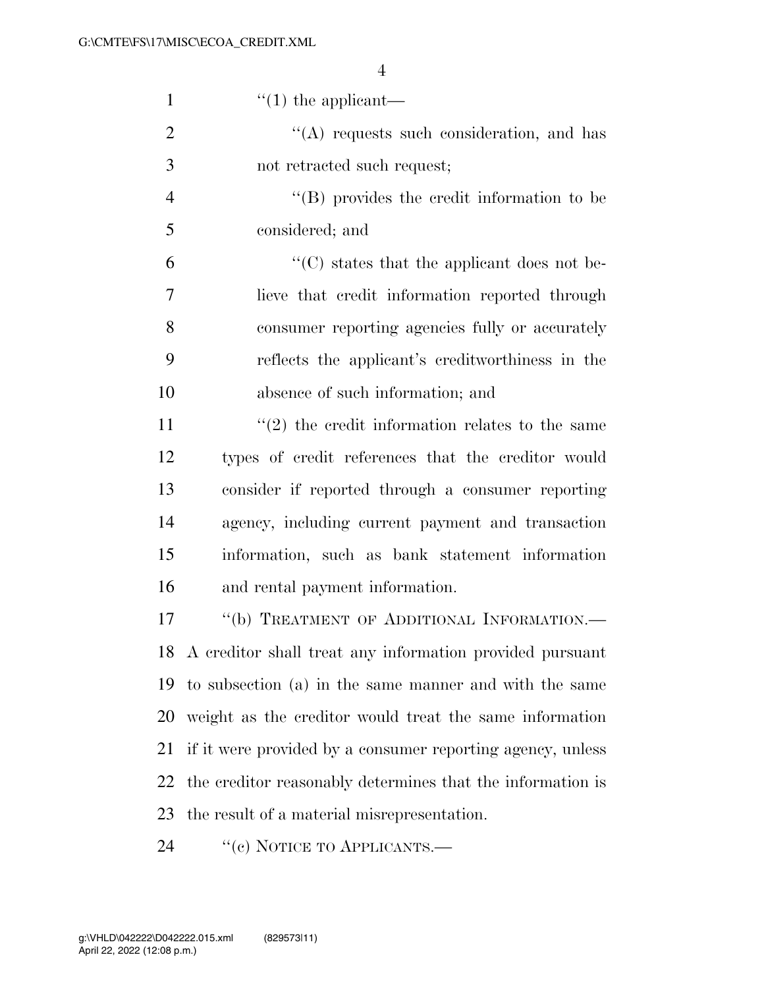| $\mathbf{1}$   | $\lq(1)$ the applicant—                                         |
|----------------|-----------------------------------------------------------------|
| $\overline{2}$ | $\lq\lq$ requests such consideration, and has                   |
| 3              | not retracted such request;                                     |
| $\overline{4}$ | $\lq\lq$ (B) provides the credit information to be              |
| 5              | considered; and                                                 |
| 6              | $\cdot$ (C) states that the applicant does not be-              |
| 7              | lieve that credit information reported through                  |
| 8              | consumer reporting agencies fully or accurately                 |
| 9              | reflects the applicant's creditworthiness in the                |
| 10             | absence of such information; and                                |
| 11             | $\cdot\cdot\cdot(2)$ the credit information relates to the same |
| 12             | types of credit references that the creditor would              |
| 13             | consider if reported through a consumer reporting               |
| 14             | agency, including current payment and transaction               |
| 15             | information, such as bank statement information                 |
| 16             | and rental payment information.                                 |
| 17             | "(b) TREATMENT OF ADDITIONAL INFORMATION.-                      |
|                | 18 A creditor shall treat any information provided pursuant     |
| 19             | to subsection (a) in the same manner and with the same          |
| 20             | weight as the creditor would treat the same information         |
| 21             | if it were provided by a consumer reporting agency, unless      |
| 22             | the creditor reasonably determines that the information is      |
| 23             | the result of a material misrepresentation.                     |
| 24             | "(c) NOTICE TO APPLICANTS.—                                     |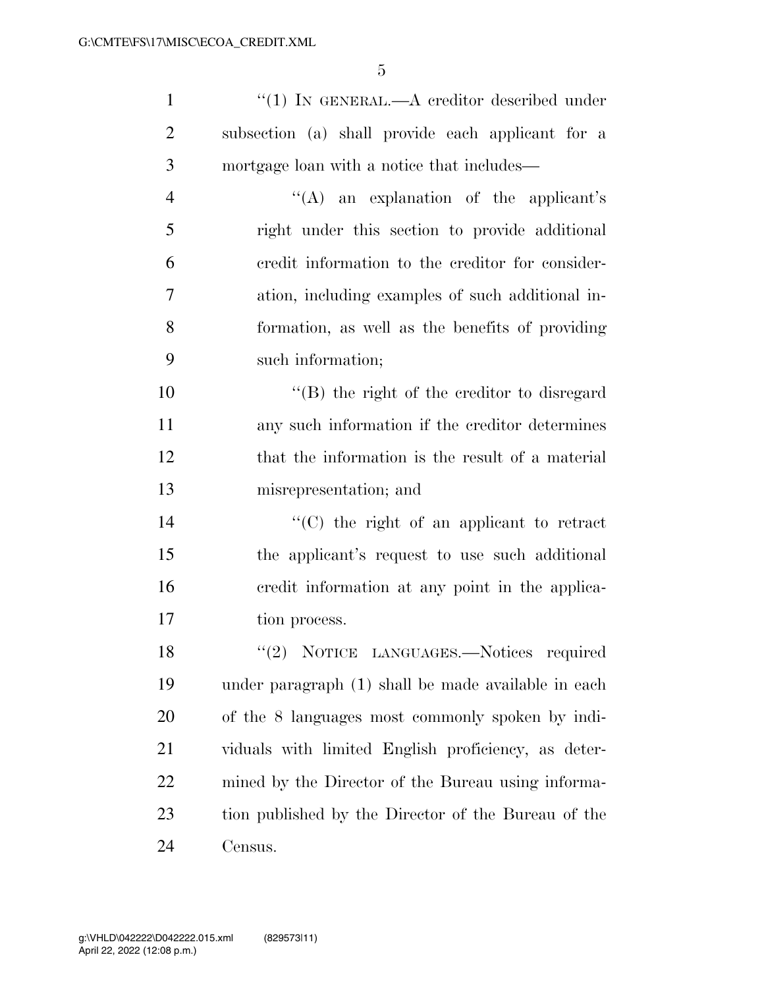| 1              | $``(1)$ IN GENERAL.—A creditor described under    |
|----------------|---------------------------------------------------|
| $\overline{2}$ | subsection (a) shall provide each applicant for a |
| 3              | mortgage loan with a notice that includes—        |
| $\overline{4}$ | "(A) an explanation of the applicant's            |
| 5              | right under this section to provide additional    |
| 6              | eredit information to the creditor for consider-  |
| 7              | ation, including examples of such additional in-  |
| 8              | formation, as well as the benefits of providing   |
| 9              | such information;                                 |
| 10             | $\lq\lq$ the right of the creditor to disregard   |
| 11             | any such information if the creditor determines   |
| 12             | that the information is the result of a material  |
| 13             | misrepresentation; and                            |
| 14             | "(C) the right of an applicant to retract         |
| 15             | the applicant's request to use such additional    |

tion process.

18 "(2) NOTICE LANGUAGES. Notices required under paragraph (1) shall be made available in each of the 8 languages most commonly spoken by indi- viduals with limited English proficiency, as deter- mined by the Director of the Bureau using informa- tion published by the Director of the Bureau of the Census.

credit information at any point in the applica-